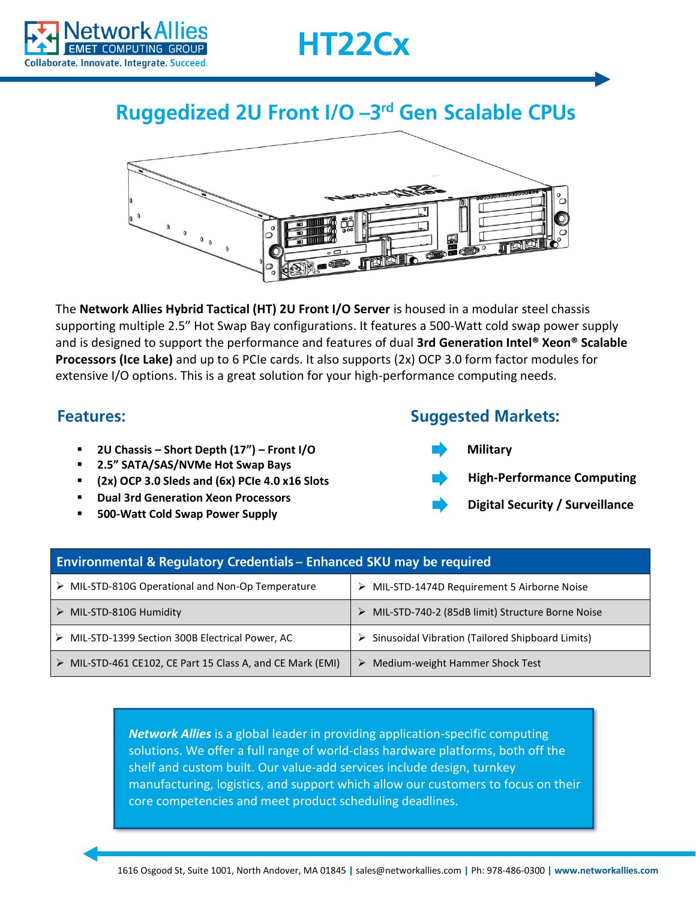



## Ruggedized 2U Front I/O -3rd Gen Scalable CPUs



The **Network Allies Hybrid Tactical (HT) 2U Front I/O Server** is housed in a modular steel chassis supporting multiple 2.5" Hot Swap Bay configurations. It features a 500-Watt cold swap power supply and is designed to support the performance and features of dual **3rd Generation Intel® Xeon® Scalable Processors (Ice Lake)** and up to 6 PCIe cards. It also supports (2x) OCP 3.0 form factor modules for extensive I/O options. This is a great solution for your high-performance computing needs.

## **Features:**

- **2U Chassis – Short Depth (17") – Front I/O**
- **2.5" SATA/SAS/NVMe Hot Swap Bays**
- **(2x) OCP 3.0 Sleds and (6x) PCIe 4.0 x16 Slots**
- **Dual 3rd Generation Xeon Processors**
- **500-Watt Cold Swap Power Supply**

## **Suggested Markets:**

**Military**



- **High-Performance Computing**
- **Digital Security / Surveillance**

| <b>Environmental &amp; Regulatory Credentials - Enhanced SKU may be required</b> |                                                                   |
|----------------------------------------------------------------------------------|-------------------------------------------------------------------|
| MIL-STD-810G Operational and Non-Op Temperature<br>➤                             | > MIL-STD-1474D Requirement 5 Airborne Noise                      |
| MIL-STD-810G Humidity                                                            | MIL-STD-740-2 (85dB limit) Structure Borne Noise                  |
| MIL-STD-1399 Section 300B Electrical Power, AC                                   | $\triangleright$ Sinusoidal Vibration (Tailored Shipboard Limits) |
| MIL-STD-461 CE102, CE Part 15 Class A, and CE Mark (EMI)                         | Medium-weight Hammer Shock Test<br>➤                              |

*Network Allies* is a global leader in providing application-specific computing solutions. We offer a full range of world-class hardware platforms, both off the shelf and custom built. Our value-add services include design, turnkey manufacturing, logistics, and support which allow our customers to focus on their core competencies and meet product scheduling deadlines.